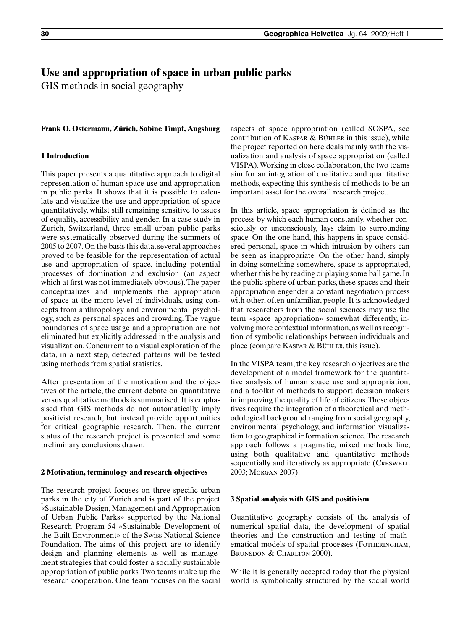# **Use and appropriation of space in urban public parks**

GIS methods in social geography

#### **Frank O. Ostermann, Zürich, Sabine Timpf, Augsburg**

# **1 Introduction**

This paper presents a quantitative approach to digital representation of human space use and appropriation in public parks. It shows that it is possible to calculate and visualize the use and appropriation of space quantitatively, whilst still remaining sensitive to issues of equality, accessibility and gender. In a case study in Zurich, Switzerland, three small urban public parks were systematically observed during the summers of 2005 to 2007. On the basis this data, several approaches proved to be feasible for the representation of actual use and appropriation of space, including potential processes of domination and exclusion (an aspect which at first was not immediately obvious). The paper conceptualizes and implements the appropriation of space at the micro level of individuals, using concepts from anthropology and environmental psychology, such as personal spaces and crowding. The vague boundaries of space usage and appropriation are not eliminated but explicitly addressed in the analysis and visualization. Concurrent to a visual exploration of the data, in a next step, detected patterns will be tested using methods from spatial statistics.

After presentation of the motivation and the objectives of the article, the current debate on quantitative versus qualitative methods is summarised. It is emphasised that GIS methods do not automatically imply positivist research, but instead provide opportunities for critical geographic research. Then, the current status of the research project is presented and some preliminary conclusions drawn.

#### **2 Motivation, terminology and research objectives**

The research project focuses on three specific urban parks in the city of Zurich and is part of the project «Sustainable Design, Management and Appropriation of Urban Public Parks» supported by the National Research Program 54 «Sustainable Development of the Built Environment» of the Swiss National Science Foundation. The aims of this project are to identify design and planning elements as well as management strategies that could foster a socially sustainable appropriation of public parks. Two teams make up the research cooperation. One team focuses on the social

aspects of space appropriation (called SOSPA, see contribution of Kaspar & Bühler in this issue), while the project reported on here deals mainly with the visualization and analysis of space appropriation (called VISPA). Working in close collaboration, the two teams aim for an integration of qualitative and quantitative methods, expecting this synthesis of methods to be an important asset for the overall research project.

In this article, space appropriation is defined as the process by which each human constantly, whether consciously or unconsciously, lays claim to surrounding space. On the one hand, this happens in space considered personal, space in which intrusion by others can be seen as inappropriate. On the other hand, simply in doing something somewhere, space is appropriated, whether this be by reading or playing some ball game. In the public sphere of urban parks, these spaces and their appropriation engender a constant negotiation process with other, often unfamiliar, people. It is acknowledged that researchers from the social sciences may use the term «space appropriation» somewhat differently, involving more contextual information, as well as recognition of symbolic relationships between individuals and place (compare Kaspar & Bühler, this issue).

In the VISPA team, the key research objectives are the development of a model framework for the quantitative analysis of human space use and appropriation, and a toolkit of methods to support decision makers in improving the quality of life of citizens. These objectives require the integration of a theoretical and methodological background ranging from social geography, environmental psychology, and information visualization to geographical information science. The research approach follows a pragmatic, mixed methods line, using both qualitative and quantitative methods sequentially and iteratively as appropriate (CRESWELL 2003; Morgan 2007).

#### **3 Spatial analysis with GIS and positivism**

Quantitative geography consists of the analysis of numerical spatial data, the development of spatial theories and the construction and testing of mathematical models of spatial processes (Fotheringham, BRUNSDON & CHARLTON 2000).

While it is generally accepted today that the physical world is symbolically structured by the social world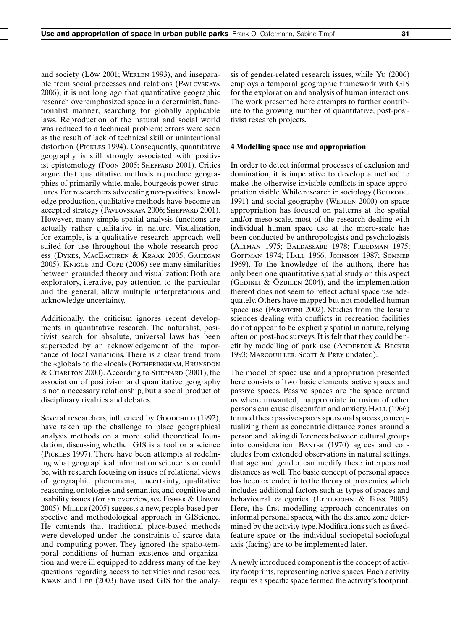and society (Löw 2001; Werlen 1993), and inseparable from social processes and relations (PAVLOVSKAYA) 2006), it is not long ago that quantitative geographic research overemphasized space in a determinist, functionalist manner, searching for globally applicable laws. Reproduction of the natural and social world was reduced to a technical problem; errors were seen as the result of lack of technical skill or unintentional distortion (Pickles 1994). Consequently, quantitative geography is still strongly associated with positivist epistemology (Poon 2005; SHEPPARD 2001). Critics argue that quantitative methods reproduce geographies of primarily white, male, bourgeois power structures. For researchers advocating non-positivist knowledge production, qualitative methods have become an accepted strategy (PAVLOVSKAYA 2006; SHEPPARD 2001). However, many simple spatial analysis functions are actually rather qualitative in nature. Visualization, for example, is a qualitative research approach well suited for use throughout the whole research process (Dykes, MacEachren & Kraak 2005; Gahegan 2005). Knigge and Cope (2006) see many similarities between grounded theory and visualization: Both are exploratory, iterative, pay attention to the particular and the general, allow multiple interpretations and acknowledge uncertainty.

Additionally, the criticism ignores recent developments in quantitative research. The naturalist, positivist search for absolute, universal laws has been superseded by an acknowledgement of the importance of local variations. There is a clear trend from the «global» to the «local» (FOTHERINGHAM, BRUNSDON & Charlton 2000). According to Sheppard (2001), the association of positivism and quantitative geography is not a necessary relationship, but a social product of disciplinary rivalries and debates.

Several researchers, influenced by Goodchild (1992), have taken up the challenge to place geographical analysis methods on a more solid theoretical foundation, discussing whether GIS is a tool or a science (Pickles 1997). There have been attempts at redefining what geographical information science is or could be, with research focusing on issues of relational views of geographic phenomena, uncertainty, qualitative reasoning, ontologies and semantics, and cognitive and usability issues (for an overview, see Fisher & Unwin 2005). Miller (2005) suggests a new, people-based perspective and methodological approach in GIScience. He contends that traditional place-based methods were developed under the constraints of scarce data and computing power. They ignored the spatio-temporal conditions of human existence and organization and were ill equipped to address many of the key questions regarding access to activities and resources. Kwan and Lee (2003) have used GIS for the analysis of gender-related research issues, while Yu (2006) employs a temporal geographic framework with GIS for the exploration and analysis of human interactions. The work presented here attempts to further contribute to the growing number of quantitative, post-positivist research projects.

#### **4 Modelling space use and appropriation**

In order to detect informal processes of exclusion and domination, it is imperative to develop a method to make the otherwise invisible conflicts in space appropriation visible. While research in sociology (BOURDIEU 1991) and social geography (Werlen 2000) on space appropriation has focused on patterns at the spatial and/or meso-scale, most of the research dealing with individual human space use at the micro-scale has been conducted by anthropologists and psychologists (Altman 1975; Baldassare 1978; Freedman 1975; Goffman 1974; Hall 1966; Johnson 1987; Sommer 1969). To the knowledge of the authors, there has only been one quantitative spatial study on this aspect (GEDIKLI & ÖZBILEN 2004), and the implementation thereof does not seem to reflect actual space use adequately. Others have mapped but not modelled human space use (Paravicini 2002). Studies from the leisure sciences dealing with conflicts in recreation facilities do not appear to be explicitly spatial in nature, relying often on post-hoc surveys. It is felt that they could benefit by modelling of park use (ANDERECK  $&$  BECKER 1993; MARCOUILLER, SCOTT & PREY undated).

The model of space use and appropriation presented here consists of two basic elements: active spaces and passive spaces. Passive spaces are the space around us where unwanted, inappropriate intrusion of other persons can cause discomfort and anxiety. HALL (1966) termed these passive spaces «personal spaces», conceptualizing them as concentric distance zones around a person and taking differences between cultural groups into consideration. BAXTER (1970) agrees and concludes from extended observations in natural settings, that age and gender can modify these interpersonal distances as well. The basic concept of personal spaces has been extended into the theory of proxemics, which includes additional factors such as types of spaces and behavioural categories (LITTLEJOHN & Foss 2005). Here, the first modelling approach concentrates on informal personal spaces, with the distance zone determined by the activity type. Modifications such as fixedfeature space or the individual sociopetal-sociofugal axis (facing) are to be implemented later.

A newly introduced component is the concept of activity footprints, representing active spaces. Each activity requires a specific space termed the activity's footprint.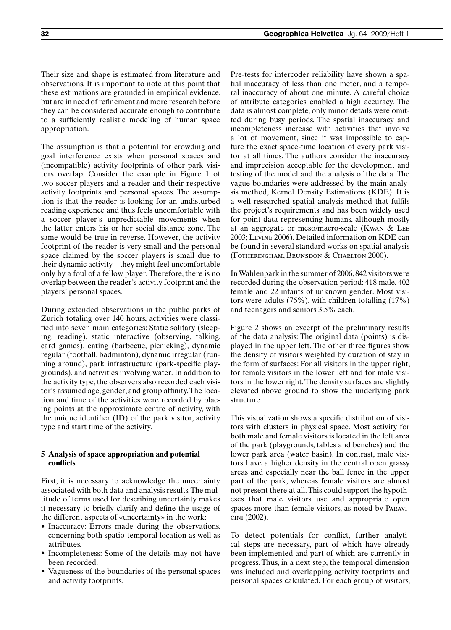Their size and shape is estimated from literature and observations. It is important to note at this point that these estimations are grounded in empirical evidence, but are in need of refinement and more research before they can be considered accurate enough to contribute to a sufficiently realistic modeling of human space appropriation.

The assumption is that a potential for crowding and goal interference exists when personal spaces and (incompatible) activity footprints of other park visitors overlap. Consider the example in Figure 1 of two soccer players and a reader and their respective activity footprints and personal spaces. The assumption is that the reader is looking for an undisturbed reading experience and thus feels uncomfortable with a soccer player's unpredictable movements when the latter enters his or her social distance zone. The same would be true in reverse. However, the activity footprint of the reader is very small and the personal space claimed by the soccer players is small due to their dynamic activity – they might feel uncomfortable only by a foul of a fellow player. Therefore, there is no overlap between the reader's activity footprint and the players' personal spaces.

During extended observations in the public parks of Zurich totaling over 140 hours, activities were classified into seven main categories: Static solitary (sleeping, reading), static interactive (observing, talking, card games), eating (barbecue, picnicking), dynamic regular (football, badminton), dynamic irregular (running around), park infrastructure (park-specific playgrounds), and activities involving water. In addition to the activity type, the observers also recorded each visitor's assumed age, gender, and group affinity. The location and time of the activities were recorded by placing points at the approximate centre of activity, with the unique identifier (ID) of the park visitor, activity type and start time of the activity.

# **5 Analysis of space appropriation and potential conflicts**

First, it is necessary to acknowledge the uncertainty associated with both data and analysis results. The multitude of terms used for describing uncertainty makes it necessary to briefly clarify and define the usage of the different aspects of «uncertainty» in the work:

- Inaccuracy: Errors made during the observations, concerning both spatio-temporal location as well as attributes.
- Incompleteness: Some of the details may not have been recorded.
- Vagueness of the boundaries of the personal spaces and activity footprints.

Pre-tests for intercoder reliability have shown a spatial inaccuracy of less than one meter, and a temporal inaccuracy of about one minute. A careful choice of attribute categories enabled a high accuracy. The data is almost complete, only minor details were omitted during busy periods. The spatial inaccuracy and incompleteness increase with activities that involve a lot of movement, since it was impossible to capture the exact space-time location of every park visitor at all times. The authors consider the inaccuracy and imprecision acceptable for the development and testing of the model and the analysis of the data. The vague boundaries were addressed by the main analysis method, Kernel Density Estimations (KDE). It is a well-researched spatial analysis method that fulfils the project's requirements and has been widely used for point data representing humans, although mostly at an aggregate or meso/macro-scale (Kwan & Lee 2003; Levine 2006). Detailed information on KDE can be found in several standard works on spatial analysis (Fotheringham, Brunsdon & Charlton 2000).

In Wahlenpark in the summer of 2006, 842 visitors were recorded during the observation period: 418 male, 402 female and 22 infants of unknown gender. Most visitors were adults (76%), with children totalling (17%) and teenagers and seniors 3.5% each.

Figure 2 shows an excerpt of the preliminary results of the data analysis: The original data (points) is displayed in the upper left. The other three figures show the density of visitors weighted by duration of stay in the form of surfaces: For all visitors in the upper right, for female visitors in the lower left and for male visitors in the lower right. The density surfaces are slightly elevated above ground to show the underlying park structure.

This visualization shows a specific distribution of visitors with clusters in physical space. Most activity for both male and female visitors is located in the left area of the park (playgrounds, tables and benches) and the lower park area (water basin). In contrast, male visitors have a higher density in the central open grassy areas and especially near the ball fence in the upper part of the park, whereas female visitors are almost not present there at all. This could support the hypotheses that male visitors use and appropriate open spaces more than female visitors, as noted by Paravicini (2002).

To detect potentials for conflict, further analytical steps are necessary, part of which have already been implemented and part of which are currently in progress. Thus, in a next step, the temporal dimension was included and overlapping activity footprints and personal spaces calculated. For each group of visitors,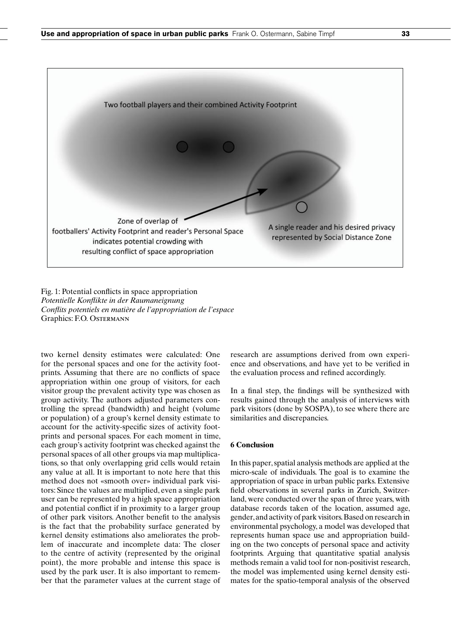

Fig. 1: Potential conflicts in space appropriation *Potentielle Konflikte in der Raumaneignung Conflits potentiels en matière de l'appropriation de l'espace* Graphics: F.O. Ostermann

two kernel density estimates were calculated: One for the personal spaces and one for the activity footprints. Assuming that there are no conflicts of space appropriation within one group of visitors, for each visitor group the prevalent activity type was chosen as group activity. The authors adjusted parameters controlling the spread (bandwidth) and height (volume or population) of a group's kernel density estimate to account for the activity-specific sizes of activity footprints and personal spaces. For each moment in time, each group's activity footprint was checked against the personal spaces of all other groups via map multiplications, so that only overlapping grid cells would retain any value at all. It is important to note here that this method does not «smooth over» individual park visitors: Since the values are multiplied, even a single park user can be represented by a high space appropriation and potential conflict if in proximity to a larger group of other park visitors. Another benefit to the analysis is the fact that the probability surface generated by kernel density estimations also ameliorates the problem of inaccurate and incomplete data: The closer to the centre of activity (represented by the original point), the more probable and intense this space is used by the park user. It is also important to remember that the parameter values at the current stage of research are assumptions derived from own experience and observations, and have yet to be verified in the evaluation process and refined accordingly.

In a final step, the findings will be synthesized with results gained through the analysis of interviews with park visitors (done by SOSPA), to see where there are similarities and discrepancies.

# **6 Conclusion**

In this paper, spatial analysis methods are applied at the micro-scale of individuals. The goal is to examine the appropriation of space in urban public parks. Extensive field observations in several parks in Zurich, Switzerland, were conducted over the span of three years, with database records taken of the location, assumed age, gender, and activity of park visitors. Based on research in environmental psychology, a model was developed that represents human space use and appropriation building on the two concepts of personal space and activity footprints. Arguing that quantitative spatial analysis methods remain a valid tool for non-positivist research, the model was implemented using kernel density estimates for the spatio-temporal analysis of the observed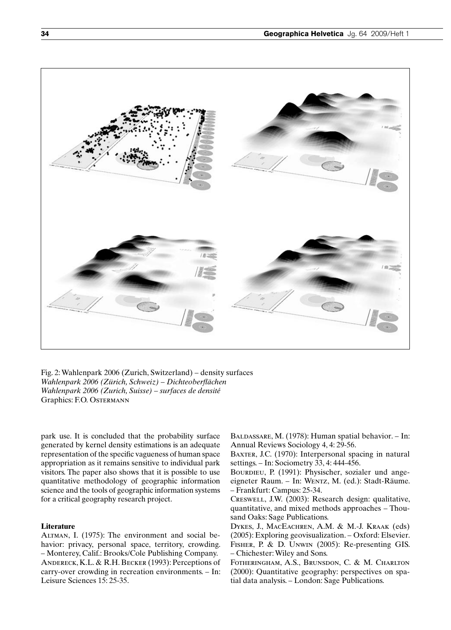![](_page_4_Picture_1.jpeg)

Fig. 2: Wahlenpark 2006 (Zurich, Switzerland) – density surfaces *Wahlenpark 2006 (Zürich, Schweiz) – Dichteoberflächen Wahlenpark 2006 (Zurich, Suisse) – surfaces de densité* Graphics: F.O. Ostermann

park use. It is concluded that the probability surface generated by kernel density estimations is an adequate representation of the specific vagueness of human space appropriation as it remains sensitive to individual park visitors. The paper also shows that it is possible to use quantitative methodology of geographic information science and the tools of geographic information systems for a critical geography research project.

## **Literature**

Altman, I. (1975): The environment and social behavior: privacy, personal space, territory, crowding. – Monterey, Calif.: Brooks/Cole Publishing Company. Andereck, K.L. & R.H. Becker (1993): Perceptions of carry-over crowding in recreation environments. – In: Leisure Sciences 15: 25-35.

BALDASSARE, M. (1978): Human spatial behavior. – In: Annual Reviews Sociology 4, 4: 29-56.

BAXTER, J.C. (1970): Interpersonal spacing in natural settings. – In: Sociometry 33, 4: 444-456.

BOURDIEU, P. (1991): Physischer, sozialer und angeeigneter Raum. – In: Wentz, M. (ed.): Stadt-Räume. – Frankfurt: Campus: 25-34.

Creswell, J.W. (2003): Research design: qualitative, quantitative, and mixed methods approaches – Thousand Oaks: Sage Publications.

Dykes, J., MacEachren, A.M. & M.-J. Kraak (eds) (2005): Exploring geovisualization. – Oxford: Elsevier. Fisher, P. & D. Unwin (2005): Re-presenting GIS. – Chichester: Wiley and Sons.

Fotheringham, A.S., Brunsdon, C. & M. Charlton (2000): Quantitative geography: perspectives on spatial data analysis. – London: Sage Publications.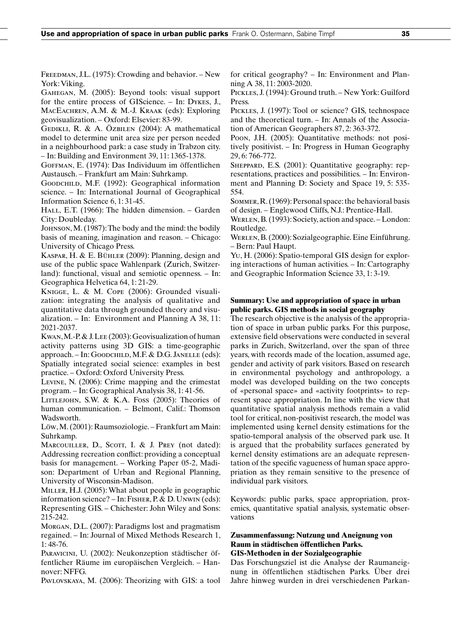FREEDMAN, J.L. (1975): Crowding and behavior. – New York: Viking.

Gahegan, M. (2005): Beyond tools: visual support for the entire process of GIScience. – In: Dykes, J., MACEACHREN, A.M. & M.-J. KRAAK (eds): Exploring geovisualization. – Oxford: Elsevier: 83-99.

GEDIKLI, R. & A. ÖZBILEN (2004): A mathematical model to determine unit area size per person needed in a neighbourhood park: a case study in Trabzon city. – In: Building and Environment 39, 11: 1365-1378.

Goffman, E. (1974): Das Individuum im öffentlichen Austausch. – Frankfurt am Main: Suhrkamp.

Goodchild, M.F. (1992): Geographical information science. – In: International Journal of Geographical Information Science 6, 1: 31-45.

HALL, E.T. (1966): The hidden dimension. – Garden City: Doubleday.

Johnson, M. (1987): The body and the mind: the bodily basis of meaning, imagination and reason. – Chicago: University of Chicago Press.

KASPAR, H. & E. BÜHLER (2009): Planning, design and use of the public space Wahlenpark (Zurich, Switzerland): functional, visual and semiotic openness. – In: Geographica Helvetica 64, 1: 21-29.

Knigge, L. & M. Cope (2006): Grounded visualization: integrating the analysis of qualitative and quantitative data through grounded theory and visualization. – In: Environment and Planning A 38, 11: 2021-2037.

Kwan, M.-P. & J. Lee (2003): Geovisualization of human activity patterns using 3D GIS: a time-geographic approach. – In: Goodchild, M.F. & D.G. Janelle (eds): Spatially integrated social science: examples in best practice. – Oxford: Oxford University Press.

Levine, N. (2006): Crime mapping and the crimestat program. – In: Geographical Analysis 38, 1: 41-56.

LITTLEJOHN, S.W. & K.A. Foss (2005): Theories of human communication. – Belmont, Calif.: Thomson Wadsworth.

Löw, M. (2001): Raumsoziologie. – Frankfurt am Main: Suhrkamp.

MARCOUILLER, D., SCOTT, I. & J. PREY (not dated): Addressing recreation conflict: providing a conceptual basis for management. – Working Paper 05-2, Madison: Department of Urban and Regional Planning, University of Wisconsin-Madison.

MILLER, H.J. (2005): What about people in geographic information science? – In: Fisher, P. & D. Unwin (eds): Representing GIS. – Chichester: John Wiley and Sons: 215-242.

Morgan, D.L. (2007): Paradigms lost and pragmatism regained. – In: Journal of Mixed Methods Research 1, 1: 48-76.

Paravicini, U. (2002): Neukonzeption städtischer öffentlicher Räume im europäischen Vergleich. – Hannover: NFFG.

Pavlovskaya, M. (2006): Theorizing with GIS: a tool

for critical geography? – In: Environment and Planning A 38, 11: 2003-2020.

Pickles, J. (1994): Ground truth. – New York: Guilford Press.

Pickles, J. (1997): Tool or science? GIS, technospace and the theoretical turn. – In: Annals of the Association of American Geographers 87, 2: 363-372.

Poon, J.H. (2005): Quantitative methods: not positively positivist. – In: Progress in Human Geography 29, 6: 766-772.

SHEPPARD, E.S. (2001): Quantitative geography: representations, practices and possibilities. – In: Environment and Planning D: Society and Space 19, 5: 535- 554.

Sommer, R. (1969): Personal space: the behavioral basis of design. – Englewood Cliffs, N.J.: Prentice-Hall.

WERLEN, B. (1993): Society, action and space. – London: Routledge.

Werlen, B. (2000): Sozialgeographie. Eine Einführung. – Bern: Paul Haupt.

Yu, H. (2006): Spatio-temporal GIS design for exploring interactions of human activities. – In: Cartography and Geographic Information Science 33, 1: 3-19.

# **Summary: Use and appropriation of space in urban public parks. GIS methods in social geography**

The research objective is the analysis of the appropriation of space in urban public parks. For this purpose, extensive field observations were conducted in several parks in Zurich, Switzerland, over the span of three years, with records made of the location, assumed age, gender and activity of park visitors. Based on research in environmental psychology and anthropology, a model was developed building on the two concepts of «personal space» and «activity footprints» to represent space appropriation. In line with the view that quantitative spatial analysis methods remain a valid tool for critical, non-positivist research, the model was implemented using kernel density estimations for the spatio-temporal analysis of the observed park use. It is argued that the probability surfaces generated by kernel density estimations are an adequate representation of the specific vagueness of human space appropriation as they remain sensitive to the presence of individual park visitors.

Keywords: public parks, space appropriation, proxemics, quantitative spatial analysis, systematic observations

# **Zusammenfassung: Nutzung und Aneignung von Raum in städtischen öffentlichen Parks. GIS-Methoden in der Sozialgeographie**

Das Forschungsziel ist die Analyse der Raumaneignung in öffentlichen städtischen Parks. Über drei Jahre hinweg wurden in drei verschiedenen Parkan